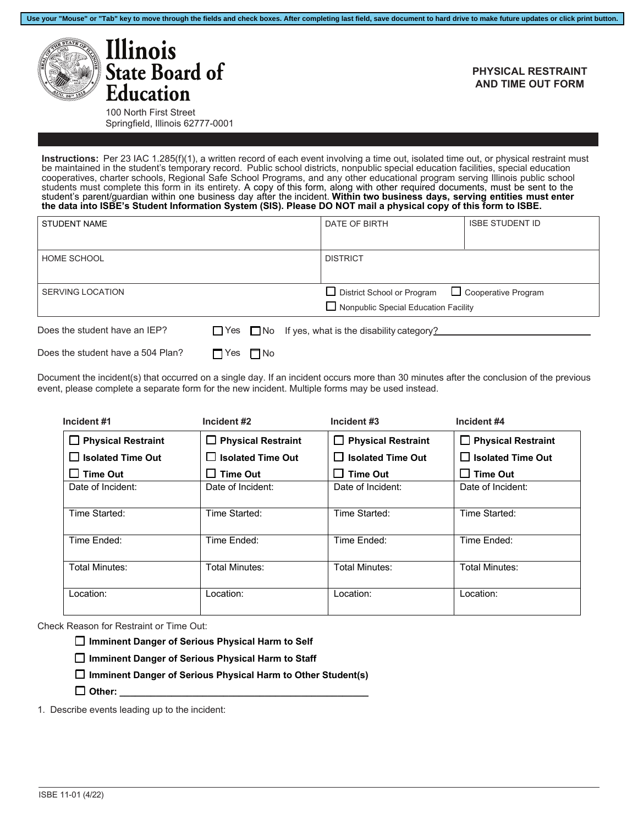



## **PHYSICAL RESTRAINT AND TIME OUT FORM**

100 North First Street Springfield, Illinois 62777-0001

**Instructions:** Per 23 IAC 1.285(f)(1), a written record of each event involving a time out, isolated time out, or physical restraint must be maintained in the student's temporary record. Public school districts, nonpublic special education facilities, special education cooperatives, charter schools, Regional Safe School Programs, and any other educational program serving Illinois public school students must complete this form in its entirety. A copy of this form, along with other required documents, must be sent to the student's parent/guardian within one business day after the incident. **Within two business days, serving entities must enter the data into ISBE's Student Information System (SIS). Please DO NOT mail a physical copy of this form to ISBE.**

| <b>STUDENT NAME</b>               |                    | DATE OF BIRTH                                                        | <b>ISBE STUDENT ID</b> |
|-----------------------------------|--------------------|----------------------------------------------------------------------|------------------------|
| HOME SCHOOL                       |                    | <b>DISTRICT</b>                                                      |                        |
| <b>SERVING LOCATION</b>           |                    | □ District School or Program<br>Nonpublic Special Education Facility | □ Cooperative Program  |
| Does the student have an IEP?     |                    | $\Box$ Yes $\Box$ No If yes, what is the disability category?        |                        |
| Does the student have a 504 Plan? | $\Box$ No<br>□ Yes |                                                                      |                        |

Document the incident(s) that occurred on a single day. If an incident occurs more than 30 minutes after the conclusion of the previous event, please complete a separate form for the new incident. Multiple forms may be used instead.

| Incident #1               | Incident #2               | Incident #3                         | Incident #4               |  |  |
|---------------------------|---------------------------|-------------------------------------|---------------------------|--|--|
| $\Box$ Physical Restraint | $\Box$ Physical Restraint | <b>Physical Restraint</b><br>$\Box$ | $\Box$ Physical Restraint |  |  |
| $\Box$ Isolated Time Out  | $\Box$ Isolated Time Out  | $\Box$ Isolated Time Out            | $\Box$ Isolated Time Out  |  |  |
| $\Box$ Time Out           | $\square$ Time Out        | $\Box$ Time Out                     | $\Box$ Time Out           |  |  |
| Date of Incident:         | Date of Incident:         | Date of Incident:                   | Date of Incident:         |  |  |
| Time Started:             | Time Started:             | Time Started:                       | Time Started:             |  |  |
| Time Ended:               | Time Ended:               | Time Ended:                         | Time Ended:               |  |  |
| Total Minutes:            | Total Minutes:            | Total Minutes:                      | Total Minutes:            |  |  |
| Location:                 | Location:                 | Location:                           | Location:                 |  |  |

Check Reason for Restraint or Time Out:

☐ **Imminent Danger of Serious Physical Harm to Self**

☐ **Imminent Danger of Serious Physical Harm to Staff**

☐ **Imminent Danger of Serious Physical Harm to Other Student(s)**

 $\Box$  Other:

1. Describe events leading up to the incident: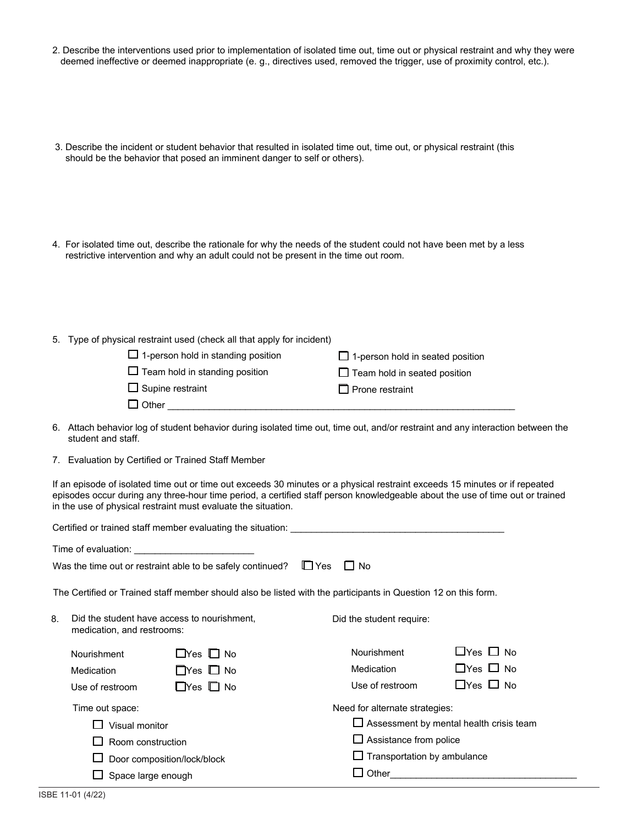- 2. Describe the interventions used prior to implementation of isolated time out, time out or physical restraint and why they were deemed ineffective or deemed inappropriate (e. g., directives used, removed the trigger, use of proximity control, etc.).
- 3. Describe the incident or student behavior that resulted in isolated time out, time out, or physical restraint (this should be the behavior that posed an imminent danger to self or others).
- 4. For isolated time out, describe the rationale for why the needs of the student could not have been met by a less restrictive intervention and why an adult could not be present in the time out room.
- 5. Type of physical restraint used (check all that apply for incident)

| $\Box$ 1-person hold in standing position | $\Box$ 1-person hold in seated position |
|-------------------------------------------|-----------------------------------------|
| $\Box$ Team hold in standing position     | $\Box$ Team hold in seated position     |
| $\square$ Supine restraint                | $\Box$ Prone restraint                  |
| $\Box$ Other                              |                                         |
|                                           |                                         |

- 6. Attach behavior log of student behavior during isolated time out, time out, and/or restraint and any interaction between the student and staff.
- 7. Evaluation by Certified or Trained Staff Member

If an episode of isolated time out or time out exceeds 30 minutes or a physical restraint exceeds 15 minutes or if repeated episodes occur during any three-hour time period, a certified staff person knowledgeable about the use of time out or trained in the use of physical restraint must evaluate the situation.

|                    |                                                                           | Certified or trained staff member evaluating the situation:                                                    |                               |                                                |                      |  |
|--------------------|---------------------------------------------------------------------------|----------------------------------------------------------------------------------------------------------------|-------------------------------|------------------------------------------------|----------------------|--|
|                    | Time of evaluation:                                                       |                                                                                                                |                               |                                                |                      |  |
|                    |                                                                           | Was the time out or restraint able to be safely continued?                                                     | $\mathbb{L}$ Yes<br>$\Box$ No |                                                |                      |  |
|                    |                                                                           | The Certified or Trained staff member should also be listed with the participants in Question 12 on this form. |                               |                                                |                      |  |
| 8.                 | Did the student have access to nourishment,<br>medication, and restrooms: |                                                                                                                |                               | Did the student require:                       |                      |  |
|                    | <b>Nourishment</b>                                                        | $\Box$ Yes $\Box$ No                                                                                           |                               | Nourishment                                    | $L$ Yes $L$ No       |  |
|                    | <b>Medication</b>                                                         | $\Box$ Yes $\Box$ No                                                                                           |                               | Medication                                     | $\Box$ Yes $\Box$ No |  |
|                    | Use of restroom                                                           | $\Box$ Yes $\Box$ No                                                                                           |                               | Use of restroom                                | $\Box$ Yes $\Box$ No |  |
|                    | Time out space:                                                           |                                                                                                                |                               | Need for alternate strategies:                 |                      |  |
|                    | Visual monitor                                                            |                                                                                                                |                               | $\Box$ Assessment by mental health crisis team |                      |  |
|                    | Room construction                                                         |                                                                                                                |                               | $\Box$ Assistance from police                  |                      |  |
|                    | Door composition/lock/block                                               |                                                                                                                |                               | $\Box$ Transportation by ambulance             |                      |  |
| Space large enough |                                                                           |                                                                                                                | Other                         |                                                |                      |  |